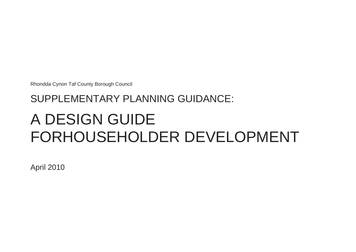Rhondda Cynon Taf County Borough Council

# SUPPLEMENTARY PLANNING GUIDANCE: A DESIGN GUIDE FORHOUSEHOLDER DEVELOPMENT

April 2010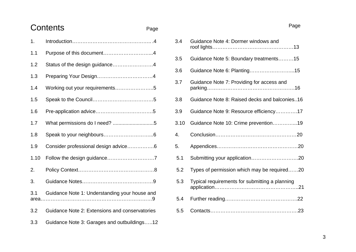# Contents Page

| 1.   |                                                |
|------|------------------------------------------------|
| 1.1  | Purpose of this document4                      |
| 1.2  | Status of the design guidance4                 |
| 1.3  |                                                |
| 1.4  | Working out your requirements5                 |
| 1.5  |                                                |
| 1.6  |                                                |
| 1.7  |                                                |
| 1.8  |                                                |
| 1.9  | Consider professional design advice6           |
| 1.10 |                                                |
| 2.   |                                                |
| 3.   |                                                |
| 3.1  | Guidance Note 1: Understanding your house and  |
| 3.2  | Guidance Note 2: Extensions and conservatories |
| 3.3  | Guidance Note 3: Garages and outbuildings12    |

| 3.4  | Guidance Note 4: Dormer windows and            |
|------|------------------------------------------------|
| 3.5  | Guidance Note 5: Boundary treatments15         |
| 3.6  |                                                |
| 3.7  | Guidance Note 7: Providing for access and      |
| 3.8  | Guidance Note 8: Raised decks and balconies16  |
| 3.9  | Guidance Note 9: Resource efficiency17         |
| 3.10 | Guidance Note 10: Crime prevention19           |
| 4.   |                                                |
| 5.   |                                                |
| 5.1  |                                                |
| 5.2  | Types of permission which may be required20    |
| 5.3  | Typical requirements for submitting a planning |
| 5.4  |                                                |
| 5.5  |                                                |

Page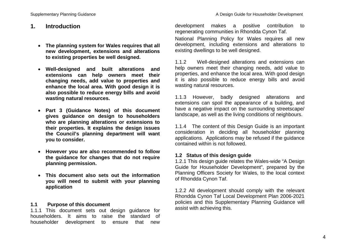# **1. Introduction**

- **The planning system for Wales requires that all new development, extensions and alterations to existing properties be well designed.**
- **Well-designed and built alterations and extensions can help owners meet their changing needs, add value to properties and enhance the local area. With good design it is also possible to reduce energy bills and avoid wasting natural resources.**
- **Part 3 (Guidance Notes) of this document gives guidance on design to householders who are planning alterations or extensions to their properties. It explains the design issues the Council's planning department will want you to consider.**
- **However you are also recommended to follow the guidance for changes that do not require planning permission.**
- **This document also sets out the information you will need to submit with your planning application**

#### **1.1 Purpose of this document**

1.1.1 This document sets out design guidance for householders. It aims to raise the standard of householder development to ensure that new

development makes a positive contribution to regenerating communities in Rhondda Cynon Taf. National Planning Policy for Wales requires all new development, including extensions and alterations to existing dwellings to be well designed.

1.1.2 Well-designed alterations and extensions can help owners meet their changing needs, add value to properties, and enhance the local area. With good design it is also possible to reduce energy bills and avoid wasting natural resources.

1.1.3 However, badly designed alterations and extensions can spoil the appearance of a building, and have a negative impact on the surrounding streetscape/ landscape, as well as the living conditions of neighbours.

1.1.4 The content of this Design Guide is an important consideration in deciding all householder planning applications. Applications may be refused if the guidance contained within is not followed.

#### **1.2 Status of this design guide**

1.2.1 This design guide relates the Wales-wide "A Design Guide for Householder Development", prepared by the Planning Officers Society for Wales, to the local context of Rhondda Cynon Taf.

1.2.2 All development should comply with the relevant Rhondda Cynon Taf Local Development Plan 2006-2021 policies and this Supplementary Planning Guidance will assist with achieving this.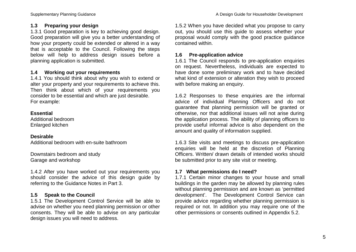# **1.3 Preparing your design**

1.3.1 Good preparation is key to achieving good design. Good preparation will give you a better understanding of how your property could be extended or altered in a way that is acceptable to the Council. Following the steps below will help to address design issues before a planning application is submitted.

#### **1.4 Working out your requirements**

1.4.1 You should think about why you wish to extend or alter your property and your requirements to achieve this. Then think about which of your requirements you consider to be essential and which are just desirable. For example:

#### **Essential**

Additional bedroom Enlarged kitchen

#### **Desirable**

Additional bedroom with en-suite bathroom

Downstairs bedroom and study Garage and workshop

1.4.2 After you have worked out your requirements you should consider the advice of this design guide by referring to the Guidance Notes in Part 3.

# **1.5 Speak to the Council**

1.5.1 The Development Control Service will be able to advise on whether you need planning permission or other consents. They will be able to advise on any particular design issues you will need to address.

1.5.2 When you have decided what you propose to carry out, you should use this guide to assess whether your proposal would comply with the good practice guidance contained within.

#### **1.6 Pre-application advice**

1.6.1 The Council responds to pre-application enquiries on request. Nevertheless, individuals are expected to have done some preliminary work and to have decided what kind of extension or alteration they wish to proceed with before making an enquiry.

1.6.2 Responses to these enquiries are the informal advice of individual Planning Officers and do not guarantee that planning permission will be granted or otherwise, nor that additional issues will not arise during the application process. The ability of planning officers to provide useful informal advice is also dependent on the amount and quality of information supplied.

1.6.3 Site visits and meetings to discuss pre-application enquiries will be held at the discretion of Planning Officers. Written/ drawn details of intended works should be submitted prior to any site visit or meeting.

#### **1.7 What permissions do I need?**

1.7.1 Certain minor changes to your house and small buildings in the garden may be allowed by planning rules without planning permission and are known as 'permitted development'. The Development Control Service can provide advice regarding whether planning permission is required or not. In addition you may require one of the other permissions or consents outlined in Appendix 5.2.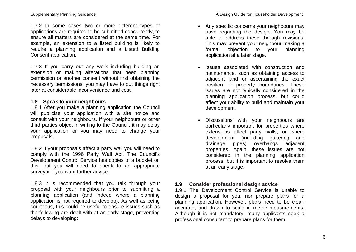1.7.2 In some cases two or more different types of applications are required to be submitted concurrently, to ensure all matters are considered at the same time. For example, an extension to a listed building is likely to require a planning application and a Listed Building Consent application.

1.7.3 If you carry out any work including building an extension or making alterations that need planning permission or another consent without first obtaining the necessary permissions, you may have to put things right later at considerable inconvenience and cost.

#### **1.8 Speak to your neighbours**

1.8.1 After you make a planning application the Council will publicise your application with a site notice and consult with your neighbours. If your neighbours or other third parties object in writing to the Council, it may delay your application or you may need to change your proposals.

1.8.2 If your proposals affect a party wall you will need to comply with the 1996 Party Wall Act. The Council's Development Control Service has copies of a booklet on this, but you will need to speak to an appropriate surveyor if you want further advice.

1.8.3 It is recommended that you talk through your proposal with your neighbours prior to submitting a planning application (and indeed where a planning application is not required to develop). As well as being courteous, this could be useful to ensure issues such as the following are dealt with at an early stage, preventing delays to developing:

- Any specific concerns your neighbours may have regarding the design. You may be able to address these through revisions. This may prevent your neighbour making a formal objection to your planning application at a later stage.
- Issues associated with construction and maintenance, such as obtaining access to adjacent land or ascertaining the exact position of property boundaries. These issues are not typically considered in the planning application process, but could affect your ability to build and maintain your development.
- Discussions with your neighbours are particularly important for properties where extensions affect party walls, or where development (including guttering and drainage pipes) overhangs adjacent properties. Again, these issues are not considered in the planning application process, but it is important to resolve them at an early stage.

#### **1.9 Consider professional design advice**

1.9.1 The Development Control Service is unable to design a proposal for you, nor prepare plans for a planning application. However, plans need to be clear, accurate, and drawn to scale in metric measurements. Although it is not mandatory, many applicants seek a professional consultant to prepare plans for them.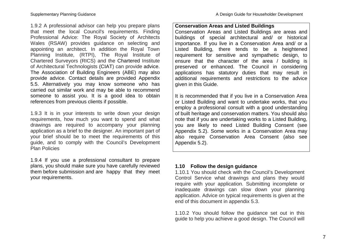1.9.2 A professional advisor can help you prepare plans that meet the local Council's requirements. Finding Professional Advice: The Royal Society of Architects Wales (RSAW) provides guidance on selecting and appointing an architect. In addition the Royal Town Planning Institute, (RTPI), The Royal Institute of Chartered Surveyors (RICS) and the Chartered Institute of Architectural Technologists (CIAT) can provide advice. The Association of Building Engineers (ABE) may also provide advice. Contact details are provided Appendix 5.5. Alternatively you may know someone who has carried out similar work and may be able to recommend someone to assist you. It is a good idea to obtain references from previous clients if possible.

1.9.3 It is in your interests to write down your design requirements, how much you want to spend and what drawings are required to accompany your planning application as a brief to the designer. An important part of your brief should be to meet the requirements of this guide, and to comply with the Council's Development Plan Policies

1.9.4 If you use a professional consultant to prepare plans, you should make sure you have carefully reviewed them before submission and are happy that they meet your requirements.

#### **Conservation Areas and Listed Buildings**

Conservation Areas and Listed Buildings are areas and buildings of special architectural and/ or historical importance. If you live in a Conservation Area and/ or a Listed Building, there tends to be a heightened requirement for sensitive and sympathetic design, to ensure that the character of the area / building is preserved or enhanced. The Council in considering applications has statutory duties that may result in additional requirements and restrictions to the advice given in this Guide.

It is recommended that if you live in a Conservation Area or Listed Building and want to undertake works, that you employ a professional consult with a good understanding of built heritage and conservation matters. You should also note that if you are undertaking works to a Listed Building, you are likely to need Listed Building Consent (see Appendix 5.2). Some works in a Conservation Area may also require Conservation Area Consent (also see Appendix 5.2).

# **1.10 Follow the design guidance**

1.10.1 You should check with the Council's Development Control Service what drawings and plans they would require with your application. Submitting incomplete or inadequate drawings can slow down your planning application. Advice on typical requirements is given at the end of this document in appendix 5.3.

1.10.2 You should follow the guidance set out in this guide to help you achieve a good design. The Council will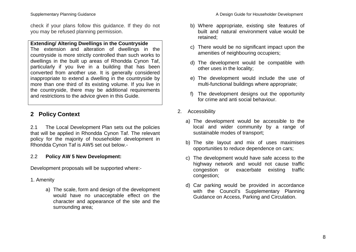check if your plans follow this guidance. If they do not you may be refused planning permission.

# **Extending/ Altering Dwellings in the Countryside**

The extension and alteration of dwellings in the countryside is more strictly controlled than such works to dwellings in the built up areas of Rhondda Cynon Taf, particularly if you live in a building that has been converted from another use. It is generally considered inappropriate to extend a dwelling in the countryside by more than one third of its existing volume. If you live in the countryside, there may be additional requirements and restrictions to the advice given in this Guide.

# **2 Policy Context**

2.1 The Local Development Plan sets out the policies that will be applied in Rhondda Cynon Taf. The relevant policy for the majority of householder development in Rhondda Cynon Taf is AW5 set out below.-

# 2.2 **Policy AW 5 New Development:**

Development proposals will be supported where:-

# 1. Amenity

a) The scale, form and design of the development would have no unacceptable effect on the character and appearance of the site and the surrounding area;

- b) Where appropriate, existing site features of built and natural environment value would be retained;
- c) There would be no significant impact upon the amenities of neighbouring occupiers;
- d) The development would be compatible with other uses in the locality;
- e) The development would include the use of multi-functional buildings where appropriate;
- f) The development designs out the opportunity for crime and anti social behaviour.
- 2. Accessibility
	- a) The development would be accessible to the local and wider community by a range of sustainable modes of transport;
	- b) The site layout and mix of uses maximises opportunities to reduce dependence on cars;
	- c) The development would have safe access to the highway network and would not cause traffic congestion or exacerbate existing traffic congestion;
	- d) Car parking would be provided in accordance with the Council's Supplementary Planning Guidance on Access, Parking and Circulation.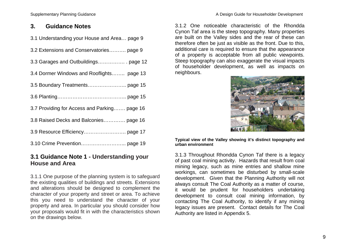#### Supplementary Planning Guidance **A Design Guide for Householder Development**

# **3. Guidance Notes**

|  | 3.1 Understanding your House and Area page 9 |  |
|--|----------------------------------------------|--|
|--|----------------------------------------------|--|

| 3.2 Extensions and Conservatories page 9     |
|----------------------------------------------|
|                                              |
| 3.4 Dormer Windows and Rooflights page 13    |
|                                              |
|                                              |
| 3.7 Providing for Access and Parking page 16 |

- 3.8 Raised Decks and Balconies…………. page 16
- 3.9 Resource Efficiency……………………. page 17
- 3.10 Crime Prevention……………………... page 19

# **3.1 Guidance Note 1 - Understanding your House and Area**

3.1.1 One purpose of the planning system is to safeguard the existing qualities of buildings and streets. Extensions and alterations should be designed to complement the character of your property and street or area. To achieve this you need to understand the character of your property and area. In particular you should consider how your proposals would fit in with the characteristics shown on the drawings below.

3.1.2 One noticeable characteristic of the Rhondda Cynon Taf area is the steep topography. Many properties are built on the Valley sides and the rear of these can therefore often be just as visible as the front. Due to this, additional care is required to ensure that the appearance of a property is acceptable from all public viewpoints. Steep topography can also exaggerate the visual impacts of householder development, as well as impacts on neighbours.



**Typical view of the Valley showing it's distinct topography and urban environment** 

3.1.3 Throughout Rhondda Cynon Taf there is a legacy of past coal mining activity. Hazards that result from coal mining legacy, such as mine entries and shallow mine workings, can sometimes be disturbed by small-scale development. Given that the Planning Authority will not always consult The Coal Authority as a matter of course, it would be prudent for householders undertaking development to consult coal mining information, by contacting The Coal Authority, to identify if any mining legacy issues are present. Contact details for The Coal Authority are listed in Appendix 5.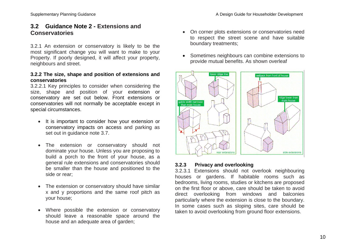# **3.2 Guidance Note 2 - Extensions and Conservatories**

3.2.1 An extension or conservatory is likely to be the most significant change you will want to make to your Property. If poorly designed, it will affect your property, neighbours and street.

#### **3.2.2 The size, shape and position of extensions and conservatories**

3.2.2.1 Key principles to consider when considering the size, shape and position of your extension or conservatory are set out below. Front extensions or conservatories will not normally be acceptable except in special circumstances.

- It is important to consider how your extension or conservatory impacts on access and parking as set out in guidance note 3.7.
- The extension or conservatory should not dominate your house. Unless you are proposing to build a porch to the front of your house, as a general rule extensions and conservatories should be smaller than the house and positioned to the side or rear;
- The extension or conservatory should have similar x and y proportions and the same roof pitch as your house;
- Where possible the extension or conservatory should leave a reasonable space around the house and an adequate area of garden:
- On corner plots extensions or conservatories need to respect the street scene and have suitable boundary treatments;
- Sometimes neighbours can combine extensions to provide mutual benefits. As shown overleaf



#### **3.2.3 Privacy and overlooking**

3.2.3.1 Extensions should not overlook neighbouring houses or gardens. If habitable rooms such as bedrooms, living rooms, studies or kitchens are proposed on the first floor or above, care should be taken to avoid direct overlooking from windows and balconies particularly where the extension is close to the boundary. In some cases such as sloping sites, care should be taken to avoid overlooking from ground floor extensions.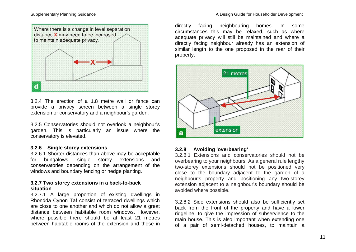



3.2.4 The erection of a 1.8 metre wall or fence can provide a privacy screen between a single storey extension or conservatory and a neighbour's garden.

3.2.5 Conservatories should not overlook a neighbour's garden. This is particularly an issue where the conservatory is elevated.

#### **3.2.6 Single storey extensions**

3.2.6.1 Shorter distances than above may be acceptable for bungalows, single storey extensions and conservatories depending on the arrangement of the windows and boundary fencing or hedge planting.

#### **3.2.7 Two storey extensions in a back-to-back situation**

3.2.7.1 A large proportion of existing dwellings in Rhondda Cynon Taf consist of terraced dwellings which are close to one another and which do not allow a great distance between habitable room windows. However, where possible there should be at least 21 metres between habitable rooms of the extension and those in

directly facing neighbouring homes. In some circumstances this may be relaxed, such as where adequate privacy will still be maintained and where a directly facing neighbour already has an extension of similar length to the one proposed in the rear of their property.



#### **3.2.8 Avoiding 'overbearing'**

3.2.8.1 Extensions and conservatories should not be overbearing to your neighbours. As a general rule lengthy two-storey extensions should not be positioned very close to the boundary adjacent to the garden of a neighbour's property and positioning any two-storey extension adjacent to a neighbour's boundary should be avoided where possible.

3.2.8.2 Side extensions should also be sufficiently set back from the front of the property and have a lower ridgeline, to give the impression of subservience to the main house. This is also important when extending one of a pair of semi-detached houses, to maintain a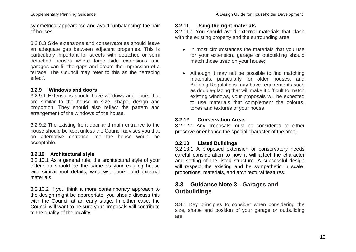symmetrical appearance and avoid "unbalancing" the pair of houses.

3.2.8.3 Side extensions and conservatories should leave an adequate gap between adjacent properties. This is particularly important for streets with detached or semi detached houses where large side extensions and garages can fill the gaps and create the impression of a terrace. The Council may refer to this as the 'terracing effect'.

# **3.2.9 Windows and doors**

3.2.9.1 Extensions should have windows and doors that are similar to the house in size, shape, design and proportion. They should also reflect the pattern and arrangement of the windows of the house.

3.2.9.2 The existing front door and main entrance to the house should be kept unless the Council advises you that an alternative entrance into the house would be acceptable.

# **3.2.10 Architectural style**

3.2.10.1 As a general rule, the architectural style of your extension should be the same as your existing house with similar roof details, windows, doors, and external materials.

3.2.10.2 If you think a more contemporary approach to the design might be appropriate, you should discuss this with the Council at an early stage. In either case, the Council will want to be sure your proposals will contribute to the quality of the locality.

### **3.2.11 Using the right materials**

3.2.11.1 You should avoid external materials that clash with the existing property and the surrounding area.

- In most circumstances the materials that you use for your extension, garage or outbuilding should match those used on your house;
- Although it may not be possible to find matching materials, particularly for older houses, and Building Regulations may have requirements such as double-glazing that will make it difficult to match existing windows, your proposals will be expected to use materials that complement the colours, tones and textures of your house.

# **3.2.12 Conservation Areas**

3.2.12.1 Any proposals must be considered to either preserve or enhance the special character of the area.

# **3.2.13 Listed Buildings**

3.2.13.1 A proposed extension or conservatory needs careful consideration to how it will affect the character and setting of the listed structure. A successful design will respect the existing and be sympathetic in scale. proportions, materials, and architectural features.

# **3.3 Guidance Note 3 - Garages and Outbuildings**

3.3.1 Key principles to consider when considering the size, shape and position of your garage or outbuilding are: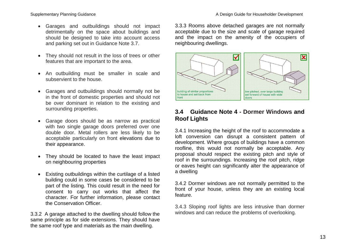#### Supplementary Planning Guidance **A Design Guide for Householder Development** A Design Guide for Householder Development

- Garages and outbuildings should not impact detrimentally on the space about buildings and should be designed to take into account access and parking set out in Guidance Note 3.7.
- They should not result in the loss of trees or other features that are important to the area.
- An outbuilding must be smaller in scale and subservient to the house.
- Garages and outbuildings should normally not be in the front of domestic properties and should not be over dominant in relation to the existing and surrounding properties.
- Garage doors should be as narrow as practical with two single garage doors preferred over one double door. Metal rollers are less likely to be acceptable particularly on front elevations due to their appearance.
- They should be located to have the least impact on neighbouring properties
- Existing outbuildings within the curtilage of a listed building could in some cases be considered to be part of the listing. This could result in the need for consent to carry out works that affect the character. For further information, please contact the Conservation Officer.

3.3.2 A garage attached to the dwelling should follow the same principle as for side extensions. They should have the same roof type and materials as the main dwelling.

and the impact on the amenity of the occupiers of neighbouring dwellings.



# **3.4 Guidance Note 4 - Dormer Windows and Roof Lights**

3.4.1 Increasing the height of the roof to accommodate a loft conversion can disrupt a consistent pattern of development. Where groups of buildings have a common roofline, this would not normally be acceptable. Any proposal should respect the existing pitch and style of roof in the surroundings. Increasing the roof pitch, ridge or eaves height can significantly alter the appearance of a dwelling

3.4.2 Dormer windows are not normally permitted to the front of your house, unless they are an existing local feature.

3.4.3 Sloping roof lights are less intrusive than dormer windows and can reduce the problems of overlooking.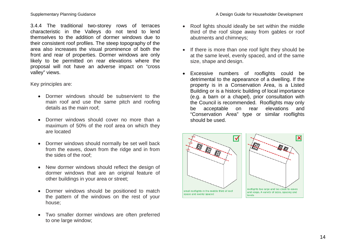3.4.4 The traditional two-storey rows of terraces characteristic in the Valleys do not tend to lend themselves to the addition of dormer windows due to their consistent roof profiles. The steep topography of the area also increases the visual prominence of both the front and rear of properties. Dormer windows are only likely to be permitted on rear elevations where the proposal will not have an adverse impact on "cross valley" views.

Key principles are:

- Dormer windows should be subservient to the main roof and use the same pitch and roofing details as the main roof;
- Dormer windows should cover no more than a maximum of 50% of the roof area on which they are located
- Dormer windows should normally be set well back from the eaves, down from the ridge and in from the sides of the roof;
- New dormer windows should reflect the design of dormer windows that are an original feature of other buildings in your area or street;
- Dormer windows should be positioned to match the pattern of the windows on the rest of your house;
- Two smaller dormer windows are often preferred to one large window;
- Roof lights should ideally be set within the middle third of the roof slope away from gables or roof abutments and chimneys;
- If there is more than one roof light they should be at the same level, evenly spaced, and of the same size, shape and design.
- Excessive numbers of rooflights could be detrimental to the appearance of a dwelling. If the property is in a Conservation Area, is a Listed Building or is a historic building of local importance (e.g. a barn or a chapel), prior consultation with the Council is recommended. Rooflights may only be acceptable on rear elevations and "Conservation Area" type or similar rooflights should be used.

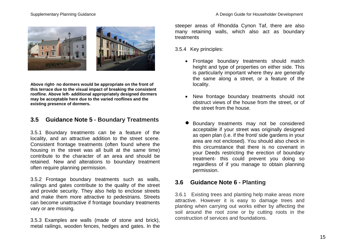

**Above right- no dormers would be appropriate on the front of this terrace due to the visual impact of breaking the consistent roofline. Above left- additional appropriately designed dormers may be acceptable here due to the varied rooflines and the existing presence of dormers.**

# **3.5 Guidance Note 5 - Boundary Treatments**

3.5.1 Boundary treatments can be a feature of the locality, and an attractive addition to the street scene. Consistent frontage treatments (often found where the housing in the street was all built at the same time) contribute to the character of an area and should be retained. New and alterations to boundary treatment often require planning permission.

3.5.2 Frontage boundary treatments such as walls, railings and gates contribute to the quality of the street and provide security. They also help to enclose streets and make them more attractive to pedestrians. Streets can become unattractive if frontage boundary treatments vary or are missing.

3.5.3 Examples are walls (made of stone and brick), metal railings, wooden fences, hedges and gates. In the steeper areas of Rhondda Cynon Taf, there are also many retaining walls, which also act as boundary treatments

3.5.4 Key principles:

- Frontage boundary treatments should match height and type of properties on either side. This is particularly important where they are generally the same along a street, or a feature of the locality.
- New frontage boundary treatments should not obstruct views of the house from the street, or of the street from the house.
- Boundary treatments may not be considered acceptable if your street was originally designed as open plan (i.e. if the front/ side gardens in your area are not enclosed). You should also check in this circumstance that there is no covenant in your Deeds restricting the erection of boundary treatment- this could prevent you doing so regardless of if you manage to obtain planning permission.

# **3.6 Guidance Note 6 - Planting**

3.6.1 Existing trees and planting help make areas more attractive. However it is easy to damage trees and planting when carrying out works either by affecting the soil around the root zone or by cutting roots in the construction of services and foundations.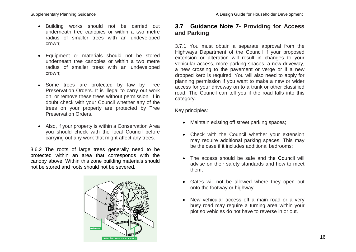- Building works should not be carried out underneath tree canopies or within a two metre radius of smaller trees with an undeveloped crown;
- Equipment or materials should not be stored underneath tree canopies or within a two metre radius of smaller trees with an undeveloped crown;
- Some trees are protected by law by Tree Preservation Orders. It is illegal to carry out work on, or remove these trees without permission. If in doubt check with your Council whether any of the trees on your property are protected by Tree Preservation Orders.
- Also, if your property is within a Conservation Area you should check with the local Council before carrying out any work that might affect any trees.

3.6.2 The roots of large trees generally need to be protected within an area that corresponds with the canopy above. Within this zone building materials should not be stored and roots should not be severed.



# **3.7 Guidance Note 7- Providing for Access and Parking**

3.7.1 You must obtain a separate approval from the Highways Department of the Council if your proposed extension or alteration will result in changes to your vehicular access, more parking spaces, a new driveway, a new crossing to the pavement or verge or if a new dropped kerb is required. You will also need to apply for planning permission if you want to make a new or wider access for your driveway on to a trunk or other classified road. The Council can tell you if the road falls into this category.

#### Key principles:

- Maintain existing off street parking spaces;
- Check with the Council whether your extension may require additional parking spaces. This may be the case if it includes additional bedrooms;
- The access should be safe and the Council will advise on their safety standards and how to meet them;
- Gates will not be allowed where they open out onto the footway or highway.
- New vehicular access off a main road or a very busy road may require a turning area within your plot so vehicles do not have to reverse in or out.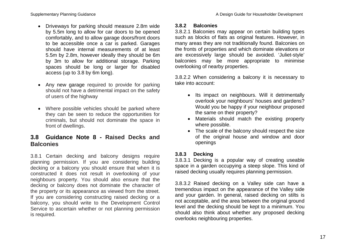- Driveways for parking should measure 2.8m wide by 5.5m long to allow for car doors to be opened comfortably, and to allow garage doors/front doors to be accessible once a car is parked. Garages should have internal measurements of at least 5.5m by 2.8m, however ideally they should be 6m by 3m to allow for additional storage. Parking spaces should be long or larger for disabled access (up to 3.8 by 6m long).
- Any new garage required to provide for parking should not have a detrimental impact on the safety of users of the highway
- Where possible vehicles should be parked where they can be seen to reduce the opportunities for criminals, but should not dominate the space in front of dwellings.

# **3.8 Guidance Note 8 - Raised Decks and Balconies**

3.8.1 Certain decking and balcony designs require planning permission. If you are considering building decking or a balcony you should ensure that when it is constructed it does not result in overlooking of your neighbours property. You should also ensure that the decking or balcony does not dominate the character of the property or its appearance as viewed from the street. If you are considering constructing raised decking or a balcony, you should write to the Development Control Service to ascertain whether or not planning permission is required.

#### **3.8.2 Balconies**

3.8.2.1 Balconies may appear on certain building types such as blocks of flats as original features. However, in many areas they are not traditionally found. Balconies on the fronts of properties and which dominate elevations or are excessively large should be avoided. 'Juliet-style' balconies may be more appropriate to minimise overlooking of nearby properties.

3.8.2.2 When considering a balcony it is necessary to take into account:

- Its impact on neighbours. Will it detrimentally overlook your neighbours' houses and gardens? Would you be happy if your neighbour proposed the same on their property?
- Materials should match the existing property where possible.
- The scale of the balcony should respect the size of the original house and window and door openings

#### **3.8.3 Decking**

3.8.3.1 Decking is a popular way of creating useable space in a garden occupying a steep slope. This kind of raised decking usually requires planning permission.

3.8.3.2 Raised decking on a Valley side can have a tremendous impact on the appearance of the Valley side and your garden. In general, raised decking on stilts is not acceptable, and the area between the original ground level and the decking should be kept to a minimum. You should also think about whether any proposed decking overlooks neighbouring properties.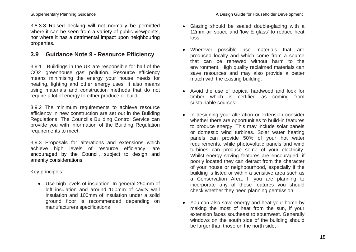3.8.3.3 Raised decking will not normally be permitted where it can be seen from a variety of public viewpoints, nor where it has a detrimental impact upon neighbouring properties.

# **3.9 Guidance Note 9 - Resource Efficiency**

3.9.1 Buildings in the UK are responsible for half of the CO2 'greenhouse gas' pollution. Resource efficiency means minimising the energy your house needs for heating, lighting and other energy uses. It also means using materials and construction methods that do not require a lot of energy to either produce or build.

3.9.2 The minimum requirements to achieve resource efficiency in new construction are set out in the Building Regulations. The Council's Building Control Service can provide you with information of the Building Regulation requirements to meet.

3.9.3 Proposals for alterations and extensions which achieve high levels of resource efficiency, are encouraged by the Council, subject to design and amenity considerations.

Key principles:

 Use high levels of insulation. In general 250mm of loft insulation and around 100mm of cavity wall insulation and 100mm of insulation under a solid ground floor is recommended depending on manufacturers specifications

- Glazing should be sealed double-glazing with a 12mm air space and 'low E glass' to reduce heat loss.
- Wherever possible use materials that are produced locally and which come from a source that can be renewed without harm to the environment. High quality reclaimed materials can save resources and may also provide a better match with the existing building;
- Avoid the use of tropical hardwood and look for timber which is certified as coming from sustainable sources;
- In designing your alteration or extension consider whether there are opportunities to build-in features to produce energy. This may include solar panels or domestic wind turbines. Solar water heating panels can provide 50% of your hot water requirements, while photovoltaic panels and wind turbines can produce some of your electricity. Whilst energy saving features are encouraged, if poorly located they can detract from the character of your house or neighbourhood, especially if the building is listed or within a sensitive area such as a Conservation Area. If you are planning to incorporate any of these features you should check whether they need planning permission;
- You can also save energy and heat your home by making the most of heat from the sun, if your extension faces southeast to southwest. Generally windows on the south side of the building should be larger than those on the north side;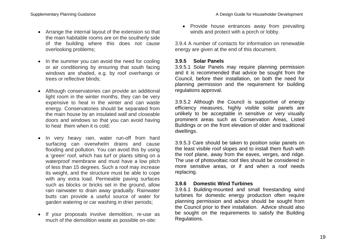- Arrange the internal layout of the extension so that the main habitable rooms are on the southerly side of the building where this does not cause overlooking problems;
- In the summer you can avoid the need for cooling or air conditioning by ensuring that south facing windows are shaded, e.g. by roof overhangs or trees or reflective blinds;
- Although conservatories can provide an additional light room in the winter months, they can be very expensive to heat in the winter and can waste energy. Conservatories should be separated from the main house by an insulated wall and closeable doors and windows so that you can avoid having to heat them when it is cold;
- In very heavy rain, water run-off from hard surfacing can overwhelm drains and cause flooding and pollution. You can avoid this by using a 'green' roof, which has turf or plants sitting on a waterproof membrane and must have a low pitch of less than 15 degrees. Such a roof may increase its weight, and the structure must be able to cope with any extra load. Permeable paving surfaces such as blocks or bricks set in the ground, allow rain rainwater to drain away gradually. Rainwater butts can provide a useful source of water for garden watering or car washing in drier periods;
- If your proposals involve demolition, re-use as much of the demolition waste as possible on-site:

• Provide house entrances away from prevailing winds and protect with a porch or lobby.

3.9.4 A number of contacts for information on renewable energy are given at the end of this document.

#### **3.9.5 Solar Panels**

3.9.5.1 Solar Panels may require planning permission and it is recommended that advice be sought from the Council, before their installation, on both the need for planning permission and the requirement for building regulations approval.

3.9.5.2 Although the Council is supportive of energy efficiency measures, highly visible solar panels are unlikely to be acceptable in sensitive or very visually prominent areas such as Conservation Areas, Listed Buildings or on the front elevation of older and traditional dwellings.

3.9.5.3 Care should be taken to position solar panels on the least visible roof slopes and to install them flush with the roof plane, away from the eaves, verges, and ridge. The use of photovoltaic roof tiles should be considered in more sensitive areas, or if and when a roof needs replacing.

#### **3.9.6 Domestic Wind Turbines**

3.9.6.1 Building-mounted and small freestanding wind turbines for domestic energy production often require planning permission and advice should be sought from the Council prior to their installation. Advice should also be sought on the requirements to satisfy the Building Regulations.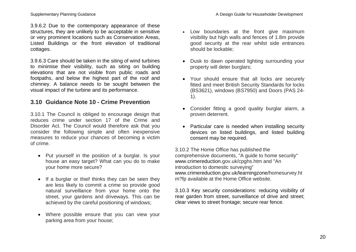3.9.6.2 Due to the contemporary appearance of these structures, they are unlikely to be acceptable in sensitive or very prominent locations such as Conservation Areas, Listed Buildings or the front elevation of traditional cottages.

3.9.6.3 Care should be taken in the siting of wind turbines to minimise their visibility, such as siting on building elevations that are not visible from public roads and footpaths, and below the highest part of the roof and chimney. A balance needs to be sought between the visual impact of the turbine and its performance.

# **3.10 Guidance Note 10 - Crime Prevention**

3.10.1 The Council is obliged to encourage design that reduces crime under section 17 of the Crime and Disorder Act. The Council would therefore ask that you consider the following simple and often inexpensive measures to reduce your chances of becoming a victim of crime.

- Put yourself in the position of a burglar. Is your house an easy target? What can you do to make your home more secure?
- If a burglar or thief thinks they can be seen they are less likely to commit a crime so provide good natural surveillance from your home onto the street, your gardens and driveways. This can be achieved by the careful positioning of windows;
- Where possible ensure that you can view your parking area from your house;
- Low boundaries at the front give maximum visibility but high walls and fences of 1.8m provide good security at the rear whilst side entrances should be lockable;
- Dusk to dawn operated lighting surrounding your property will deter burglars;
- Your should ensure that all locks are securely fitted and meet British Security Standards for locks (BS3621), windows (BS7950) and Doors (PAS 24- 1).
- Consider fitting a good quality burglar alarm, a proven deterrent.
- Particular care is needed when installing security devices on listed buildings, and listed building consent may be required.

3.10.2 The Home Office has published the comprehensive documents, "A guide to home security" www.crimereduction.gov.uk/cpghs.htm and "An introduction to domestic surveying" www.crimereduction.gov.uk/learningzone/homesurvey.ht m?fp available at the Home Office website.

3.10.3 Key security considerations: reducing visibility of rear garden from street, surveillance of drive and street; clear views to street frontage; secure rear fence.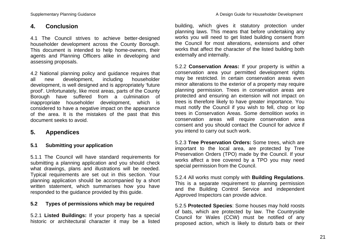# **4. Conclusion**

4.1 The Council strives to achieve better-designed householder development across the County Borough. This document is intended to help home-owners, their agents and Planning Officers alike in developing and assessing proposals.

4.2 National planning policy and guidance requires that all new development, including householder development, is well designed and is appropriately 'future proof'. Unfortunately, like most areas, parts of the County Borough have suffered from a culmination of inappropriate householder development, which is considered to have a negative impact on the appearance of the area. It is the mistakes of the past that this document seeks to avoid.

# **5. Appendices**

# **5.1 Submitting your application**

5.1.1 The Council will have standard requirements for submitting a planning application and you should check what drawings, plans and illustrations will be needed. Typical requirements are set out in this section. Your planning application should be accompanied by a short written statement, which summarises how you have responded to the guidance provided by this guide.

# **5.2 Types of permissions which may be required**

5.2.1 **Listed Buildings:** If your property has a special historic or architectural character it may be a listed building, which gives it statutory protection under planning laws. This means that before undertaking any works you will need to get listed building consent from the Council for most alterations, extensions and other works that affect the character of the listed building both externally and internally.

5.2.2 **Conservation Areas:** If your property is within a conservation area your permitted development rights may be restricted. In certain conservation areas even minor alterations to the exterior of a property may require planning permission. Trees in conservation areas are protected and ensuring an extension will not impact on trees is therefore likely to have greater importance. You must notify the Council if you wish to fell, chop or lop trees in Conservation Areas. Some demolition works in conservation areas will require conservation area consent and you should contact the Council for advice if you intend to carry out such work.

5.2.3 **Tree Preservation Orders:** Some trees, which are important to the local area, are protected by Tree Preservation Orders (TPO) made by the Council. If your works affect a tree covered by a TPO you may need special permission from the Council.

5.2.4 All works must comply with **Building Regulations**. This is a separate requirement to planning permission and the Building Control Service and independent Approved Inspectors can provide advice.

5.2.5 **Protected Species**: Some houses may hold roosts of bats, which are protected by law. The Countryside Council for Wales (CCW) must be notified of any proposed action, which is likely to disturb bats or their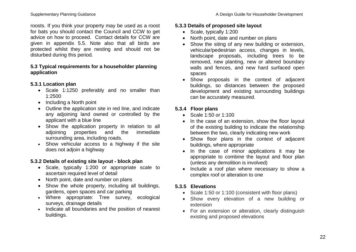roosts. If you think your property may be used as a roost for bats you should contact the Council and CCW to get advice on how to proceed. Contact details for CCW are given in appendix 5.5. Note also that all birds are protected whilst they are nesting and should not be disturbed during this period.

# **5.3 Typical requirements for a householder planning application**

# **5.3.1 Location plan**

- Scale 1:1250 preferably and no smaller than 1:2500
- Including a North point
- Outline the application site in red line, and indicate any adjoining land owned or controlled by the applicant with a blue line
- Show the application property in relation to all adjoining properties and the immediate surrounding area, including roads.
- Show vehicular access to a highway if the site does not adjoin a highway

# **5.3.2 Details of existing site layout - block plan**

- Scale, typically 1:200 or appropriate scale to ascertain required level of detail
- North point, date and number on plans
- Show the whole property, including all buildings, gardens, open spaces and car parking
- Where appropriate: Tree survey, ecological surveys, drainage details
- Indicate all boundaries and the position of nearest buildings.

# **5.3.3 Details of proposed site layout**

- Scale, typically 1:200
- North point, date and number on plans
- Show the siting of any new building or extension, vehicular/pedestrian access, changes in levels, landscape proposals, including trees to be removed, new planting, new or altered boundary walls and fences, and new hard surfaced open spaces
- Show proposals in the context of adjacent buildings, so distances between the proposed development and existing surrounding buildings can be accurately measured.

# **5.3.4 Floor plans**

- Scale 1:50 or 1:100
- In the case of an extension, show the floor layout of the existing building to indicate the relationship between the two, clearly indicating new work
- Show floor plans in the context of adjacent buildings, where appropriate
- In the case of minor applications it may be appropriate to combine the layout and floor plan (unless any demolition is involved)
- Include a roof plan where necessary to show a complex roof or alteration to one

# **5.3.5 Elevations**

- Scale 1:50 or 1:100 (consistent with floor plans)
- Show every elevation of a new building or extension
- For an extension or alteration, clearly distinguish existing and proposed elevations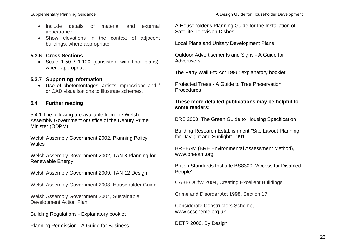- Include details of material and external appearance
- Show elevations in the context of adjacent buildings, where appropriate

# **5.3.6 Cross Sections**

• Scale 1:50 / 1:100 (consistent with floor plans), where appropriate.

#### **5.3.7 Supporting Information**

 Use of photomontages, artist's impressions and / or CAD visualisations to illustrate schemes.

#### **5.4 Further reading**

5.4.1 The following are available from the Welsh Assembly Government or Office of the Deputy Prime Minister (ODPM)

Welsh Assembly Government 2002, Planning Policy Wales

Welsh Assembly Government 2002, TAN 8 Planning for Renewable Energy

Welsh Assembly Government 2009, TAN 12 Design

Welsh Assembly Government 2003, Householder Guide

Welsh Assembly Government 2004, Sustainable Development Action Plan

Building Regulations - Explanatory booklet

Planning Permission - A Guide for Business

A Householder's Planning Guide for the Installation of Satellite Television Dishes

Local Plans and Unitary Development Plans

Outdoor Advertisements and Signs - A Guide for **Advertisers** 

The Party Wall Etc Act 1996: explanatory booklet

Protected Trees - A Guide to Tree Preservation **Procedures** 

### **These more detailed publications may be helpful to some readers:**

BRE 2000, The Green Guide to Housing Specification

Building Research Establishment "Site Layout Planning for Daylight and Sunlight" 1991

BREEAM (BRE Environmental Assessment Method), www.breeam.org

British Standards Institute BS8300, 'Access for Disabled People'

CABE/DCfW 2004, Creating Excellent Buildings

Crime and Disorder Act 1998, Section 17

Considerate Constructors Scheme, www.ccscheme.org.uk

DETR 2000, By Design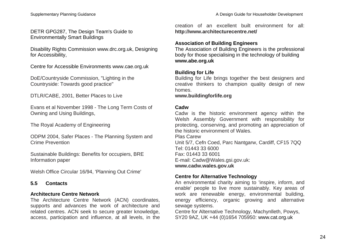# DETR GPG287, The Design Team's Guide to Environmentally Smart Buildings

Disability Rights Commission www.drc.org.uk, Designing for Accessibility,

Centre for Accessible Environments www.cae.org.uk

DoE/Countryside Commission, "Lighting in the Countryside: Towards good practice"

DTLR/CABE, 2001, Better Places to Live

Evans et al November 1998 - The Long Term Costs of Owning and Using Buildings,

The Royal Academy of Engineering

ODPM 2004, Safer Places - The Planning System and Crime Prevention

Sustainable Buildings: Benefits for occupiers, BRE Information paper

Welsh Office Circular 16/94, 'Planning Out Crime'

# **5.5 Contacts**

# **Architecture Centre Network**

The Architecture Centre Network (ACN) coordinates, supports and advances the work of architecture and related centres. ACN seek to secure greater knowledge, access, participation and influence, at all levels, in the creation of an excellent built environment for all: **http://www.architecturecentre.net/**

# **Association of Building Engineers**

The Association of Building Engineers is the professional body for those specialising in the technology of building **www.abe.org.uk**

# **Building for Life**

Building for Life brings together the best designers and creative thinkers to champion quality design of new homes.

**www.buildingforlife.org**

# **Cadw**

Cadw is the historic environment agency within the Welsh Assembly Government with responsibility for protecting, conserving, and promoting an appreciation of the historic environment of Wales.

Plas Carew Unit 5/7, Cefn Coed, Parc Nantgarw, Cardiff, CF15 7QQ Tel: 01443 33 6000 Fax: 01443 33 6001 E-mail: Cadw@Wales.gsi.gov.uk: **www.cadw.wales.gov.uk**

# **Centre for Alternative Technology**

An environmental charity aiming to 'inspire, inform, and enable' people to live more sustainably. Key areas of work are renewable energy, environmental building, energy efficiency, organic growing and alternative sewage systems.

Centre for Alternative Technology, Machynlleth, Powys, SY20 9AZ, UK +44 (0)1654 705950: www.cat.org.uk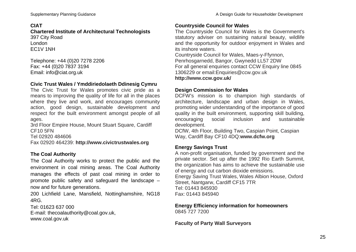# **CIAT**

**Chartered Institute of Architectural Technologists** 397 City Road London EC1V 1NH

Telephone: +44 (0)20 7278 2206 Fax: +44 (0)20 7837 3194 Email: info@ciat.org.uk

# **Civic Trust Wales / Ymddiriedolaeth Ddinesig Cymru**

The Civic Trust for Wales promotes civic pride as a means to improving the quality of life for all in the places where they live and work, and encourages community action, good design, sustainable development and respect for the built environment amongst people of all ages.

3rd Floor Empire House, Mount Stuart Square, Cardiff CF10 5FN

Tel 02920 484606

Fax 02920 464239: **http://www.civictrustwales.org**

# **The Coal Authority**

The Coal Authority works to protect the public and the environment in coal mining areas. The Coal Authority manages the effects of past coal mining in order to promote public safety and safeguard the landscape – now and for future generations.

200 Lichfield Lane, Mansfield, Nottinghamshire, NG18 4RG.

Tel: 01623 637 000 E-mail: thecoalauthority@coal.gov.uk, www.coal.gov.uk

# **Countryside Council for Wales**

The Countryside Council for Wales is the Government's statutory adviser on sustaining natural beauty, wildlife and the opportunity for outdoor enjoyment in Wales and its inshore waters.

Countryside Council for Wales, Maes-y-Ffynnon, Penrhosgarnedd, Bangor, Gwynedd LL57 2DW For all general enquiries contact CCW Enquiry line 0845 1306229 or email:Enquiries@ccw.gov.uk **http://www.ccw.gov.uk/**

# **Design Commission for Wales**

DCFW's mission is to champion high standards of architecture, landscape and urban design in Wales, promoting wider understanding of the importance of good quality in the built environment, supporting skill building, encouraging social inclusion and sustainable development.

DCfW, 4th Floor, Building Two, Caspian Point, Caspian Way, Cardiff Bay CF10 4DQ:**www.dcfw.org**

# **Energy Savings Trust**

A non-profit organisation, funded by government and the private sector. Set up after the 1992 Rio Earth Summit, the organization has aims to achieve the sustainable use of energy and cut carbon dioxide emissions. Energy Saving Trust Wales, Wales Albion House, Oxford Street, Nantgarw, Cardiff CF15 7TR Tel: 01443 845930 Fax: 01443 845940

# **Energy Efficiency information for homeowners** 0845 727 7200

# **Faculty of Party Wall Surveyors**